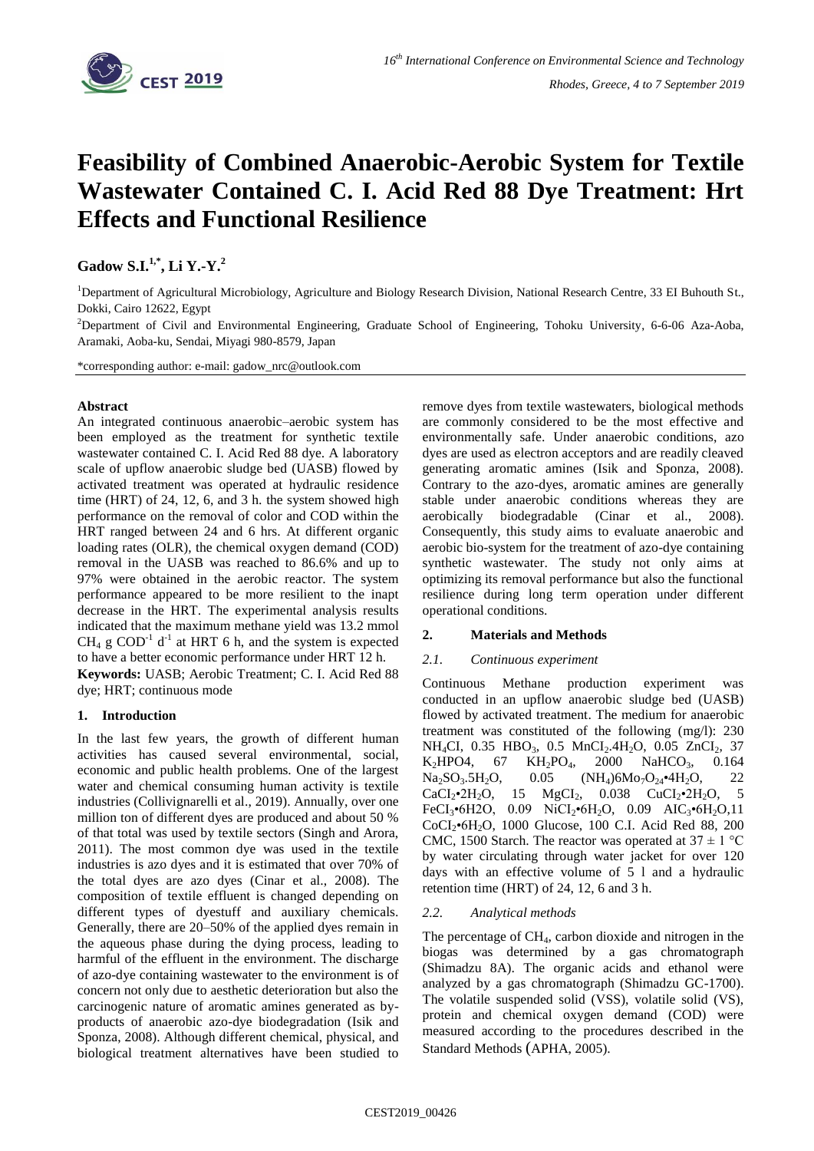

# **Feasibility of Combined Anaerobic-Aerobic System for Textile Wastewater Contained C. I. Acid Red 88 Dye Treatment: Hrt Effects and Functional Resilience**

**Gadow S.I.1,\* , Li Y.-Y. 2**

<sup>1</sup>Department of Agricultural Microbiology, Agriculture and Biology Research Division, National Research Centre, 33 EI Buhouth St., Dokki, Cairo 12622, Egypt

<sup>2</sup>Department of Civil and Environmental Engineering, Graduate School of Engineering, Tohoku University, 6-6-06 Aza-Aoba, Aramaki, Aoba-ku, Sendai, Miyagi 980-8579, Japan

\*corresponding author: e-mail: gadow\_nrc@outlook.com

## **Abstract**

An integrated continuous anaerobic–aerobic system has been employed as the treatment for synthetic textile wastewater contained C. I. Acid Red 88 dye. A laboratory scale of upflow anaerobic sludge bed (UASB) flowed by activated treatment was operated at hydraulic residence time (HRT) of 24, 12, 6, and 3 h. the system showed high performance on the removal of color and COD within the HRT ranged between 24 and 6 hrs. At different organic loading rates (OLR), the chemical oxygen demand (COD) removal in the UASB was reached to 86.6% and up to 97% were obtained in the aerobic reactor. The system performance appeared to be more resilient to the inapt decrease in the HRT. The experimental analysis results indicated that the maximum methane yield was 13.2 mmol  $CH<sub>4</sub>$  g COD<sup>-1</sup> d<sup>-1</sup> at HRT 6 h, and the system is expected to have a better economic performance under HRT 12 h. **Keywords:** UASB; Aerobic Treatment; C. I. Acid Red 88 dye; HRT; continuous mode

# **1. Introduction**

In the last few years, the growth of different human activities has caused several environmental, social, economic and public health problems. One of the largest water and chemical consuming human activity is textile industries (Collivignarelli et al., 2019). Annually, over one million ton of different dyes are produced and about 50 % of that total was used by textile sectors (Singh and Arora, 2011). The most common dye was used in the textile industries is azo dyes and it is estimated that over 70% of the total dyes are azo dyes (Cinar et al., 2008). The composition of textile effluent is changed depending on different types of dyestuff and auxiliary chemicals. Generally, there are 20–50% of the applied dyes remain in the aqueous phase during the dying process, leading to harmful of the effluent in the environment. The discharge of azo-dye containing wastewater to the environment is of concern not only due to aesthetic deterioration but also the carcinogenic nature of aromatic amines generated as byproducts of anaerobic azo-dye biodegradation (Isik and Sponza, 2008). Although different chemical, physical, and biological treatment alternatives have been studied to

remove dyes from textile wastewaters, biological methods are commonly considered to be the most effective and environmentally safe. Under anaerobic conditions, azo dyes are used as electron acceptors and are readily cleaved generating aromatic amines (Isik and Sponza, 2008). Contrary to the azo-dyes, aromatic amines are generally stable under anaerobic conditions whereas they are aerobically biodegradable (Cinar et al., 2008). Consequently, this study aims to evaluate anaerobic and aerobic bio-system for the treatment of azo-dye containing synthetic wastewater. The study not only aims at optimizing its removal performance but also the functional resilience during long term operation under different operational conditions.

## **2. Materials and Methods**

## *2.1. Continuous experiment*

Continuous Methane production experiment was conducted in an upflow anaerobic sludge bed (UASB) flowed by activated treatment. The medium for anaerobic treatment was constituted of the following (mg/l): 230 NH<sub>4</sub>CI, 0.35 HBO<sub>3</sub>, 0.5 MnCI<sub>2</sub>.4H<sub>2</sub>O, 0.05 ZnCI<sub>2</sub>, 37  $K_2HPO4$ , 67  $KH_2PO_4$ , 2000 NaHCO<sub>3</sub>, 0.164  $Na_2SO_3.5H_2O$ , 0.05  $(NH_4)6Mo_7O_{24}$ •4H<sub>2</sub>O, 22  $CaCl<sub>2</sub>•2H<sub>2</sub>O$ , 15  $MgCl<sub>2</sub>$ , 0.038  $CuCl<sub>2</sub>•2H<sub>2</sub>O$ , 5 FeCI<sub>3</sub>•6H2O, 0.09 NiCI<sub>2</sub>•6H<sub>2</sub>O, 0.09 AIC<sub>3</sub>•6H<sub>2</sub>O,11 CoCI2•6H2O, 1000 Glucose, 100 C.I. Acid Red 88, 200 CMC, 1500 Starch. The reactor was operated at  $37 \pm 1$  °C by water circulating through water jacket for over 120 days with an effective volume of 5 l and a hydraulic retention time (HRT) of 24, 12, 6 and 3 h.

# *2.2. Analytical methods*

The percentage of CH4, carbon dioxide and nitrogen in the biogas was determined by a gas chromatograph (Shimadzu 8A). The organic acids and ethanol were analyzed by a gas chromatograph (Shimadzu GC-1700). The volatile suspended solid (VSS), volatile solid (VS), protein and chemical oxygen demand (COD) were measured according to the procedures described in the Standard Methods (APHA, 2005).